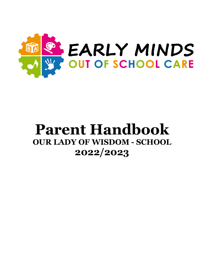

# **Parent Handbook OUR LADY OF WISDOM - SCHOOL 2022/2023**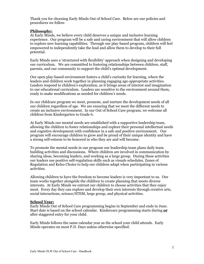Thank you for choosing Early Minds Out of School Care. Below are our policies and procedures we follow.

## **Philosophy:**

At Early Minds, we believe every child deserves a unique and inclusive learning experience. Our program will be a safe and caring environment that will allow children to explore new learning capabilities. Through our play-based program, children will feel empowered to independently take the lead and allow them to develop to their full potential.

Early Minds uses a 'structured with flexibility' approach when designing and developing our curriculum. We are committed to fostering relationships between children, staff, parents, and our community to support the child's optimal development.

Our open play-based environment fosters a child's curiosity for learning, where the leaders and children work together in planning engaging age-appropriate activities. Leaders respond to children's exploration, as it brings areas of interest and imagination to our educational curriculum. Leaders are sensitive to the environment around them, ready to make modifications as needed for children's needs.

In our childcare program we meet, promote, and nurture the development needs of all our children regardless of age. We are ensuring that we meet the different needs to create an inclusive environment. In our Out of School Care program, we welcome all children from Kindergarten to Grade 6.

At Early Minds our mental needs are established with a supportive leadership team, allowing the children to foster relationships and explore their personal intellectual needs and cognitive development with confidence in a safe and positive environment. Our program will encourage children to grow and be proud of their unique identity and have a strong self-esteem to be honored in who they are and will become.

To promote the mental needs in our program our leadership team plans daily team building activities and discussions. Where children are involved in communication by sharing ideas, becoming leaders, and working as a large group. During these activities our leaders use positive self-regulation skills such as visuals schedules, Zones of Regulation and Kelso Choice to help our children adapt when participating in various activities.

Allowing children to have the freedom to become leaders is very important to us. Our team works together alongside the children to create planning that meets diverse interests. At Early Minds we entrust our children to choose activities that they enjoy most. Every day they can explore and develop their own interests through creative arts, social interactions, science/STEM, large group, and physical activities.

#### **School Year:**

Early Minds Out of School Care programming begins in September and ends in June. Start date is based on the school calendar. Kindercare programming starts during **or** after staggered entry for your child.

Early Minds follows the same calendar year as the school your child attends. Early Minds operates on most P.D. Days unless otherwise specified.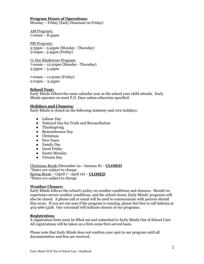#### **Program Hours of Operations:** Monday – Friday (Early Dismissal on Friday)

*AM Program:* 7:00am – 8:45am

*PM Program:* 3:35pm – 5:45pm (Monday - Thursday) 2:00pm - 5:45pm (Friday)

½ Day Kindercare Program: 7:00am – 12:50pm (Monday - Thursday) 3:35pm – 5:45pm

7:00am – 11:50am (Friday) 2:00pm – 5:45pm

# **School Year:**

Early Minds follows the same calendar year as the school your child attends. Early Minds operates on most P.D. Days unless otherwise specified.

# **Holidays and Closures:**

Early Minds is closed on the following statutory and civic holidays:

- Labour Day
- National Day for Truth and Reconciliation
- Thanksgiving
- Remembrance Day
- Christmas
- New Years
- Family Day
- Good Friday
- Easter Monday
- Victoria Day

Christmas Break (December 22 - January 8) – **CLOSED** *\*Dates are subject to change* Spring Break – (April 7 –April 16) – **CLOSED** *\*Dates are subject to change*

# **Weather Closure:**

Early Minds follows the school's policy on weather conditions and closures. Should we experience severe weather conditions, and the school closes, Early Minds' programs will also be closed. A phone call or email will be used to communicate with parents should this occur. If you are not sure if the program is running, please feel free to call Sabrina at 403-966-5328. Our voicemail will indicate closure of our programs.

# **Registration:**

A registration form must be filled out and submitted to Early Minds Out of School Care. All registrations will be taken on a first-come first-served basis.

Please note that Early Minds does not confirm your spot in our program until all documentation and fees are received.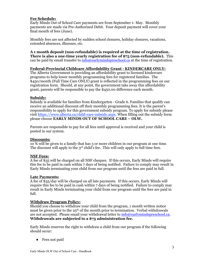# **Fee Schedule:**

Early Minds Out of School Care payments are from September 1- May. Monthly payments are made via Pre-Authorized Debit. Your deposit payment will cover your final month of fees (June).

Monthly fees are not affected by sudden school closures, holiday closures, vacations, extended absences, illnesses, etc.

**A 1 month deposit (non-refundable) is required at the time of registration. There is also a one-time yearly registration fee of \$75 (non-refundable).** This can be paid by email transfer to  $\frac{info@earlymindspreschool.ca}{info@carlymindspreschool.ca}$  at the time of registration.

# **Federal-Provincial Childcare Affordability Grant - KINDERCARE ONLY:**

The Alberta Government is providing an affordability grant to licensed kindercare programs to help lower monthly programming fees for registered families. The \$450/month (Full Time Care ONLY) grant is reflected in the programming fees on our registration form. Should, at any point, the government take away this affordability grant, parents will be responsible to pay the \$450.00 difference each month.

# **Subsidy:**

Subsidy is available for families from Kindergarten - Grade 6. Families that qualify can receive an additional discount off their monthly programming fees. It is the parent's responsibility to apply for this government subsidy program. To apply for subsidy please visit https://www.alberta.ca/child-care-subsidy.aspx. When filling out the subsidy form please choose **EARLY MINDS OUT OF SCHOOL CARE – OLW.**

Parents are responsible to pay for all fees until approval is received and your child is posted in our system.

# **Discounts:**

10 % will be given to a family that has 3 or more children in our program at one time. The discount will apply to the 3<sup>rd</sup> child's fee. This will only apply to full time fees.

# **NSF Fees:**

A fee of \$35 will be charged on all NSF cheques. If this occurs, Early Minds will require this fee to be paid in cash within 7 days of being notified. Failure to comply may result in Early Minds terminating your child from our program until the fees are paid in full.

# **Late Payments:**

A fee of \$35/day will be charged on all late payments. If this occurs, Early Minds will require this fee to be paid in cash within 7 days of being notified. Failure to comply may result in Early Minds terminating your child from our program until the fees are paid in full.

# **Withdraw Program Policy:**

Should you choose to withdraw your child from the program, 1 month written notice must be given prior to the  $25<sup>th</sup>$  of the month prior to termination. Verbal withdrawals are not accepted. Please email your withdrawal letter to info@earlymindspreschool.ca. **Withdrawals are subjected to a \$75 administration fee.** 

Early Minds reserves the right to withdraw a child from our program if the following should occur:

● Fees not paid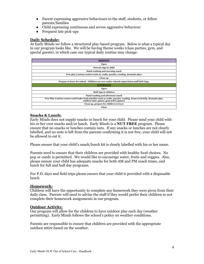- Parent expressing aggressive behaviours to the staff, students, or fellow parents/families
- Child expressing continuous and severe aggressive behaviour
- Frequent late pick-ups

## **Daily Schedule:**

At Early Minds we follow a structured play-based program. Below is what a typical day in our program looks like. We will be having theme weeks (class parties, gym, and special guests), in which case our typical daily routine may change.

| <b>MORNING</b>                                                                                                                                                  |
|-----------------------------------------------------------------------------------------------------------------------------------------------------------------|
| <b>Open</b>                                                                                                                                                     |
| Parents sign in child                                                                                                                                           |
| Hand washing and morning snack                                                                                                                                  |
| Free play (various centers such as, crafts, puzzles, reading, dramatic play)                                                                                    |
| Clean up                                                                                                                                                        |
| Prepare to leave for school. Children are now under schools supervision until bell rings.                                                                       |
| <b>AFTERNOON</b>                                                                                                                                                |
| Open                                                                                                                                                            |
| Staff sign in children                                                                                                                                          |
| Hand washing and afternoon snack                                                                                                                                |
| Free Play (various centers and leader lead activities such as crafts, puzzles, reading, homework help, dramatic play,<br>outdoor time, games, gym/active games) |
| Clean up, prepare for children to leave                                                                                                                         |
| Close                                                                                                                                                           |

# **Snacks & Lunch:**

Early Minds does not supply snacks or lunch for your child. Please send your child with his or her own snacks and/or lunch. Early Minds is a **NUT FREE** program. Please ensure that no snacks or lunches contain nuts. If any snacks or lunches are not clearly labelled, and no note is left from the parents confirming it is nut free, your child will not be allowed to eat it.

Please ensure that your child's snack/lunch kit is clearly labelled with his or her name.

Parents need to ensure that their children are provided with healthy food choices. No pop or candy is permitted. We would like to encourage water, fruits and veggies. Also, please ensure your child has adequate snacks for both AM and PM snack times, and lunch for full and half day programs.

For P.D. days and field trips please ensure that your child is provided with a disposable lunch.

# **Homework:**

Children will have the opportunity to complete any homework they were given from their daily class. Parents will need to advise the staff if they would prefer their children to not complete their homework assignments in our program.

# **Outdoor Activity:**

Our program will allow for the children to have outdoor play each day (weather permitting). Early Minds follows the school's policy on weather conditions.

Parents are responsible to ensure that children are provided with the appropriate outdoor attire based on the weather.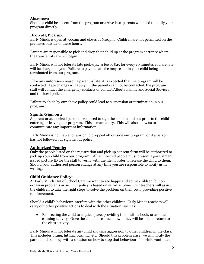# **Absences:**

Should a child be absent from the program or arrive late, parents will need to notify your program directly.

## **Drop off/Pick up:**

Early Minds is open at 7:ooam and closes at 6:00pm. Children are not permitted on the premises outside of these hours.

Parents are responsible to pick and drop their child up at the program entrance where the transfer of care will begin.

Early Minds will not tolerate late pick-ups. A fee of \$25 for every 10 minutes you are late will be charged to you. Failure to pay the late fee may result in your child being terminated from our program.

If for any unforeseen reason a parent is late, it is expected that the program will be contacted. Late charges will apply. If the parents can not be contacted, the program staff will contact the emergency contacts or contact Alberta Family and Social Services and the local police.

Failure to abide by our above policy could lead to suspension or termination in our program.

## **Sign In/Sign out:**

A parent or authorized person is required to sign the child in and out prior to the child entering or leaving our program. This is mandatory. This will also allow us to communicate any important information.

Early Minds is not liable for any child dropped off outside our program, or if a person has not followed our sign in/out policy.

# **Authorized People:**

Only the people listed on the registration and pick up consent form will be authorized to pick up your child from our program. All authorized people must present a government issued picture ID for the staff to verify with the file in order to release the child to them. Should your authorized person change at any time you are responsible to notify us in writing.

#### **Child Guidance Policy:**

At Early Minds Out of School Care we want to see happy and active children, but on occasion problems arise. Our policy is based on self-discipline. Our teachers will assist the children to take the right steps to solve the problem on their own, providing positive reinforcement.

Should a child's behaviour interfere with the other children, Early Minds teachers will carry out other positive actions to deal with the situation, such as:

• Redirecting the child to a quiet space, providing them with a book, or another calming activity. Once the child has calmed down, they will be able to return to the class activity.

Early Minds will not tolerate any child showing aggression to other children in the class. This includes biting, hitting, pushing, etc. Should this problem arise, we will notify the parent and come up with a solution on how to stop that behaviour. If a child continues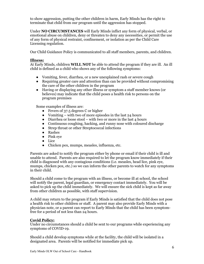to show aggression, putting the other children in harm, Early Minds has the right to terminate that child from our program until the aggression has stopped.

Under **NO CIRCUMSTANCES** will Early Minds inflict any form of physical, verbal, or emotional abuse on children, deny or threaten to deny any necessities, or permit the use of any form of physical restraint, confinement, or isolation as per the Child Care Licensing regulation.

Our Child Guidance Policy is communicated to all staff members, parents, and children.

## **Illness:**

At Early Minds, children **WILL NOT** be able to attend the program if they are ill. An ill child is defined as a child who shows any of the following symptoms:

- Vomiting, fever, diarrhea, or a new unexplained rash or severe cough
- Requiring greater care and attention than can be provided without compromising the care of the other children in the program
- Having or displaying any other illness or symptom a staff member knows (or believes) may indicate that the child poses a health risk to persons on the program premises

Some examples of illness are:

- Fevers of 37.5 degrees C or higher
- Vomiting with two of more episodes in the last  $24$  hours
- Diarrhea or loose stool with two or more in the last 4 hours
- Continuous coughing, hacking, and runny nose with coloured discharge
- Strep throat or other Streptococcal infections
- Rashes
- Pink eye
- Lice
- Chicken pox, mumps, measles, influenza, etc.

Parents are asked to notify the program either by phone or email if their child is ill and unable to attend. Parents are also required to let the program know immediately if their child is diagnosed with any contagious conditions (i.e. measles, head lice, pink eye, mumps, chicken pox, etc.) so we can inform the other parents to watch for any symptoms in their child.

Should a child come to the program with an illness, or become ill at school, the school will notify the parent, legal guardian, or emergency contact immediately. You will be asked to pick up the child immediately. We will ensure the sick child is kept as far away from other children as possible, with staff supervision.

A child may return to the program if Early Minds is satisfied that the child does not pose a health risk to other children or staff. A parent may also provide Early Minds with a physician note, or a parent can report to Early Minds that the child has been symptomfree for a period of not less than 24 hours.

## **Covid Policy:**

Under no circumstances should a child be sent to our programs while experiencing any symptoms of COVID-19.

Should a child develop symptoms while at the facility, the child will be isolated in a designated area. Parents will be notified for immediate pick up.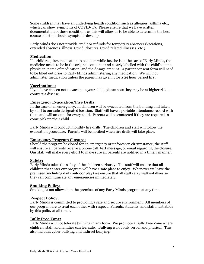Some children may have an underlying health condition such as allergies, asthma etc., which can show symptoms of COVID- 19. Please ensure that we have written documentation of these conditions as this will allow us to be able to determine the best course of action should symptoms develop.

Early Minds does not provide credit or refunds for temporary absences (vacations, extended absences, illness, Covid Closures, Covid related illnesses, etc.).

## **Medication:**

If a child requires medication to be taken while he/she is in the care of Early Minds, the medicine needs to be in the original container and clearly labelled with the child's name, physician, name of medication, and the dosage amount. A parent consent form will need to be filled out prior to Early Minds administering any medication. We will not administer medication unless the parent has given it for a 24 hour period first.

## **Vaccinations:**

If you have chosen not to vaccinate your child, please note they may be at higher risk to contract a disease.

## **Emergency Evacuation/Fire Drills:**

In the case of an emergency, all children will be evacuated from the building and taken by staff to our safe designated location. Staff will have a portable attendance record with them and will account for every child. Parents will be contacted if they are required to come pick up their child.

Early Minds will conduct monthly fire drills. The children and staff will follow the evacuation procedure. Parents will be notified when fire drills will take place.

#### **Emergency Program Closure:**

Should the program be closed for an emergency or unforeseen circumstance, the staff will ensure all parents receive a phone call, text message, or email regarding the closure. Our staff will make every effort to make sure all parents are notified in a timely manner.

#### **Safety:**

Early Minds takes the safety of the children seriously. The staff will ensure that all children that enter our program will have a safe place to enjoy. Whenever we leave the premises (including daily outdoor play) we ensure that all staff carry walkie-talkies so they can communicate any emergencies immediately.

#### **Smoking Policy:**

Smoking is not allowed on the premises of any Early Minds program at any time

#### **Respect Policy:**

Early Minds is committed to providing a safe and secure environment. All members of our program are to treat each other with respect. Parents, students, and staff must abide by this policy at all times.

#### **Bully Free Zone:**

Early Minds will not tolerate bullying in any form. We promote a Bully Free Zone where children, staff, and families can feel safe. Bullying is not only verbal and physical. This also includes cyber bullying and indirect bullying.